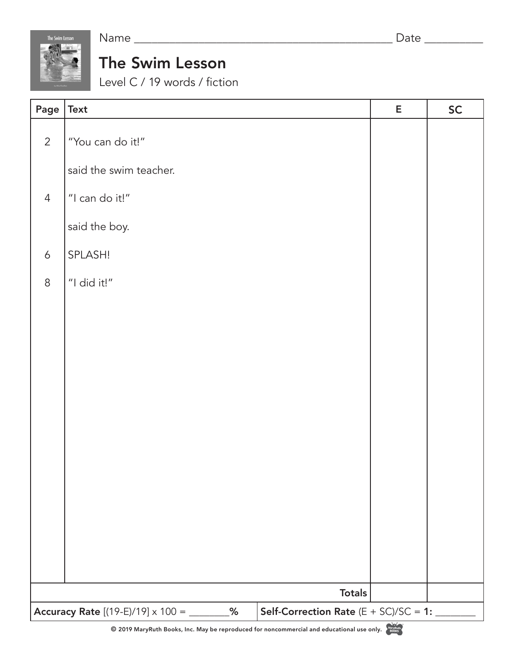

Name \_\_\_\_\_\_\_\_\_\_\_\_\_\_\_\_\_\_\_\_\_\_\_\_\_\_\_\_\_\_\_\_\_\_\_\_\_\_\_\_\_\_\_\_ Date \_\_\_\_\_\_\_\_\_\_

## The Swim Lesson

Level C / 19 words / fiction

| Page $\vert$ Text                                   |                        |                                          | E             | <b>SC</b> |
|-----------------------------------------------------|------------------------|------------------------------------------|---------------|-----------|
| $\overline{2}$                                      | "You can do it!"       |                                          |               |           |
|                                                     | said the swim teacher. |                                          |               |           |
| $\overline{4}$                                      | "I can do it!"         |                                          |               |           |
|                                                     | said the boy.          |                                          |               |           |
| $\boldsymbol{6}$                                    | SPLASH!                |                                          |               |           |
| $\,8\,$                                             | "I did it!"            |                                          |               |           |
|                                                     |                        |                                          |               |           |
|                                                     |                        |                                          |               |           |
|                                                     |                        |                                          |               |           |
|                                                     |                        |                                          |               |           |
|                                                     |                        |                                          |               |           |
|                                                     |                        |                                          |               |           |
|                                                     |                        |                                          |               |           |
|                                                     |                        |                                          |               |           |
|                                                     |                        |                                          |               |           |
|                                                     |                        |                                          |               |           |
|                                                     |                        | <b>Totals</b>                            |               |           |
| Accuracy Rate $[(19-E)/19] \times 100 =$ _________% |                        | Self-Correction Rate $(E + SC)/SC = 1$ : | <b>Chines</b> |           |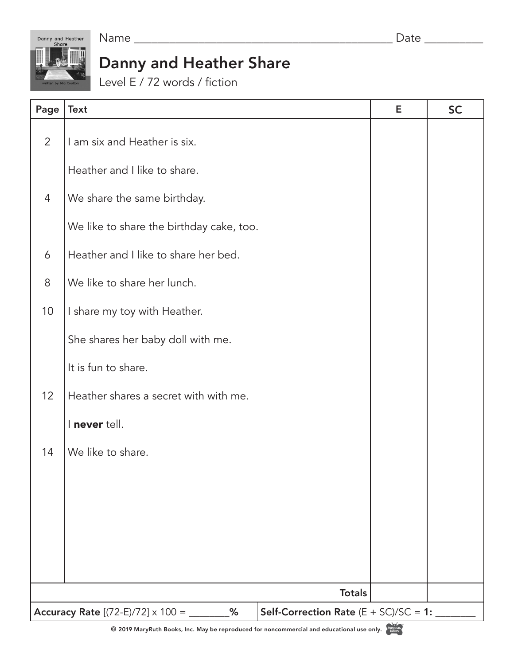Name \_\_\_\_\_\_\_\_\_\_\_\_\_\_\_\_\_\_\_\_\_\_\_\_\_\_\_\_\_\_\_\_\_\_\_\_\_\_\_\_\_\_\_\_ Date \_\_\_\_\_\_\_\_\_\_

Danny and Heather<br>Share

## Danny and Heather Share

Level E / 72 words / fiction

| Page             | <b>Text</b>                                          | E                                        | <b>SC</b> |  |  |
|------------------|------------------------------------------------------|------------------------------------------|-----------|--|--|
| $\overline{2}$   | I am six and Heather is six.                         |                                          |           |  |  |
|                  | Heather and I like to share.                         |                                          |           |  |  |
| $\overline{4}$   | We share the same birthday.                          |                                          |           |  |  |
|                  | We like to share the birthday cake, too.             |                                          |           |  |  |
| $\boldsymbol{6}$ | Heather and I like to share her bed.                 |                                          |           |  |  |
| 8                | We like to share her lunch.                          |                                          |           |  |  |
| 10               | I share my toy with Heather.                         |                                          |           |  |  |
|                  | She shares her baby doll with me.                    |                                          |           |  |  |
|                  | It is fun to share.                                  |                                          |           |  |  |
| 12               | Heather shares a secret with with me.                |                                          |           |  |  |
|                  | I never tell.                                        |                                          |           |  |  |
| 14               | We like to share.                                    |                                          |           |  |  |
|                  |                                                      |                                          |           |  |  |
|                  |                                                      |                                          |           |  |  |
|                  |                                                      |                                          |           |  |  |
|                  |                                                      |                                          |           |  |  |
|                  | <b>Totals</b>                                        |                                          |           |  |  |
|                  | <b>Accuracy Rate</b> $[(72-E)/72] \times 100 =$<br>% | Self-Correction Rate $(E + SC)/SC = 1$ : |           |  |  |